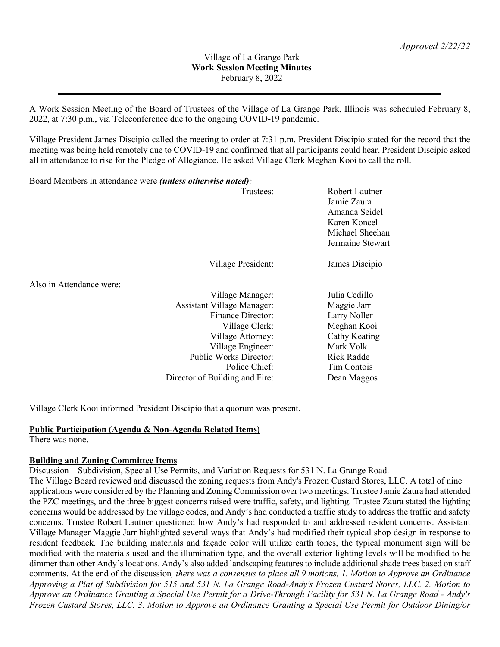#### Village of La Grange Park **Work Session Meeting Minutes** February 8, 2022

A Work Session Meeting of the Board of Trustees of the Village of La Grange Park, Illinois was scheduled February 8, 2022, at 7:30 p.m., via Teleconference due to the ongoing COVID-19 pandemic.

Village President James Discipio called the meeting to order at 7:31 p.m. President Discipio stated for the record that the meeting was being held remotely due to COVID-19 and confirmed that all participants could hear. President Discipio asked all in attendance to rise for the Pledge of Allegiance. He asked Village Clerk Meghan Kooi to call the roll.

Board Members in attendance were *(unless otherwise noted):*

| $D \cos \theta$ is the fill of $D$ in all all $\sin \theta$ is the set of $\sin \theta$ is the set of $\sin \theta$ is the set of $D$ |                                   |                                                                                                       |
|---------------------------------------------------------------------------------------------------------------------------------------|-----------------------------------|-------------------------------------------------------------------------------------------------------|
|                                                                                                                                       | Trustees:                         | Robert Lautner<br>Jamie Zaura<br>Amanda Seidel<br>Karen Koncel<br>Michael Sheehan<br>Jermaine Stewart |
|                                                                                                                                       | Village President:                | James Discipio                                                                                        |
| Also in Attendance were:                                                                                                              |                                   |                                                                                                       |
|                                                                                                                                       | Village Manager:                  | Julia Cedillo                                                                                         |
|                                                                                                                                       | <b>Assistant Village Manager:</b> | Maggie Jarr                                                                                           |
|                                                                                                                                       | <b>Finance Director:</b>          | Larry Noller                                                                                          |
|                                                                                                                                       | Village Clerk:                    | Meghan Kooi                                                                                           |
|                                                                                                                                       | Village Attorney:                 | Cathy Keating                                                                                         |
|                                                                                                                                       | Village Engineer:                 | Mark Volk                                                                                             |
|                                                                                                                                       | Public Works Director:            | Rick Radde                                                                                            |
|                                                                                                                                       | Police Chief:                     | Tim Contois                                                                                           |
|                                                                                                                                       | Director of Building and Fire:    | Dean Maggos                                                                                           |

Village Clerk Kooi informed President Discipio that a quorum was present.

#### **Public Participation (Agenda & Non-Agenda Related Items)**

There was none.

#### **Building and Zoning Committee Items**

Discussion – Subdivision, Special Use Permits, and Variation Requests for 531 N. La Grange Road.

The Village Board reviewed and discussed the zoning requests from Andy's Frozen Custard Stores, LLC. A total of nine applications were considered by the Planning and Zoning Commission over two meetings. Trustee Jamie Zaura had attended the PZC meetings, and the three biggest concerns raised were traffic, safety, and lighting. Trustee Zaura stated the lighting concerns would be addressed by the village codes, and Andy's had conducted a traffic study to address the traffic and safety concerns. Trustee Robert Lautner questioned how Andy's had responded to and addressed resident concerns. Assistant Village Manager Maggie Jarr highlighted several ways that Andy's had modified their typical shop design in response to resident feedback. The building materials and façade color will utilize earth tones, the typical monument sign will be modified with the materials used and the illumination type, and the overall exterior lighting levels will be modified to be dimmer than other Andy's locations. Andy's also added landscaping features to include additional shade trees based on staff comments. At the end of the discussion*, there was a consensus to place all 9 motions, 1. Motion to Approve an Ordinance Approving a Plat of Subdivision for 515 and 531 N. La Grange Road-Andy's Frozen Custard Stores, LLC. 2. Motion to Approve an Ordinance Granting a Special Use Permit for a Drive-Through Facility for 531 N. La Grange Road - Andy's Frozen Custard Stores, LLC. 3. Motion to Approve an Ordinance Granting a Special Use Permit for Outdoor Dining/or*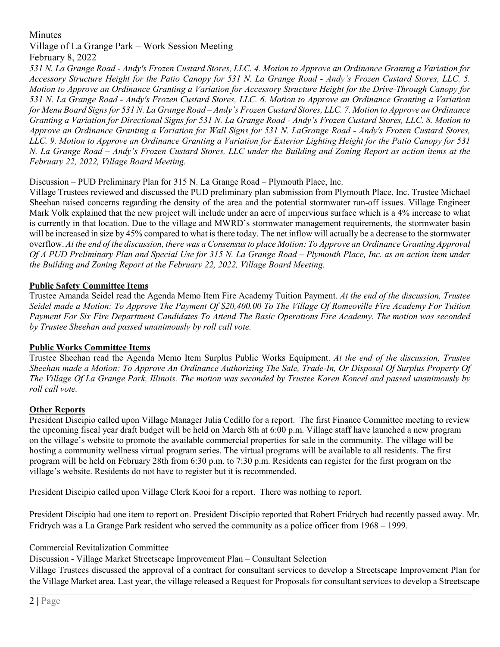# **Minutes**

### Village of La Grange Park – Work Session Meeting February 8, 2022

*531 N. La Grange Road - Andy's Frozen Custard Stores, LLC. 4. Motion to Approve an Ordinance Grantng a Variation for Accessory Structure Height for the Patio Canopy for 531 N. La Grange Road - Andy's Frozen Custard Stores, LLC. 5. Motion to Approve an Ordinance Granting a Variation for Accessory Structure Height for the Drive-Through Canopy for 531 N. La Grange Road - Andy's Frozen Custard Stores, LLC. 6. Motion to Approve an Ordinance Granting a Variation for Menu Board Signs for 531 N. La Grange Road – Andy's Frozen Custard Stores, LLC. 7. Motion to Approve an Ordinance Granting a Variation for Directional Signs for 531 N. La Grange Road - Andy's Frozen Custard Stores, LLC. 8. Motion to Approve an Ordinance Granting a Variation for Wall Signs for 531 N. LaGrange Road - Andy's Frozen Custard Stores, LLC. 9. Motion to Approve an Ordinance Granting a Variation for Exterior Lighting Height for the Patio Canopy for 531 N. La Grange Road – Andy's Frozen Custard Stores, LLC under the Building and Zoning Report as action items at the February 22, 2022, Village Board Meeting.*

## Discussion – PUD Preliminary Plan for 315 N. La Grange Road – Plymouth Place, Inc.

Village Trustees reviewed and discussed the PUD preliminary plan submission from Plymouth Place, Inc. Trustee Michael Sheehan raised concerns regarding the density of the area and the potential stormwater run-off issues. Village Engineer Mark Volk explained that the new project will include under an acre of impervious surface which is a 4% increase to what is currently in that location. Due to the village and MWRD's stormwater management requirements, the stormwater basin will be increased in size by 45% compared to what is there today. The net inflow will actually be a decrease to the stormwater overflow. *At the end of the discussion, there was a Consensus to place Motion: To Approve an Ordinance Granting Approval Of A PUD Preliminary Plan and Special Use for 315 N. La Grange Road – Plymouth Place, Inc. as an action item under the Building and Zoning Report at the February 22, 2022, Village Board Meeting.*

## **Public Safety Committee Items**

Trustee Amanda Seidel read the Agenda Memo Item Fire Academy Tuition Payment. *At the end of the discussion, Trustee Seidel made a Motion: To Approve The Payment Of \$20,400.00 To The Village Of Romeoville Fire Academy For Tuition Payment For Six Fire Department Candidates To Attend The Basic Operations Fire Academy. The motion was seconded by Trustee Sheehan and passed unanimously by roll call vote.*

### **Public Works Committee Items**

Trustee Sheehan read the Agenda Memo Item Surplus Public Works Equipment. *At the end of the discussion, Trustee Sheehan made a Motion: To Approve An Ordinance Authorizing The Sale, Trade-In, Or Disposal Of Surplus Property Of The Village Of La Grange Park, Illinois. The motion was seconded by Trustee Karen Koncel and passed unanimously by roll call vote.*

### **Other Reports**

President Discipio called upon Village Manager Julia Cedillo for a report. The first Finance Committee meeting to review the upcoming fiscal year draft budget will be held on March 8th at 6:00 p.m. Village staff have launched a new program on the village's website to promote the available commercial properties for sale in the community. The village will be hosting a community wellness virtual program series. The virtual programs will be available to all residents. The first program will be held on February 28th from 6:30 p.m. to 7:30 p.m. Residents can register for the first program on the village's website. Residents do not have to register but it is recommended.

President Discipio called upon Village Clerk Kooi for a report. There was nothing to report.

President Discipio had one item to report on. President Discipio reported that Robert Fridrych had recently passed away. Mr. Fridrych was a La Grange Park resident who served the community as a police officer from 1968 – 1999.

### Commercial Revitalization Committee

Discussion - Village Market Streetscape Improvement Plan – Consultant Selection

Village Trustees discussed the approval of a contract for consultant services to develop a Streetscape Improvement Plan for the Village Market area. Last year, the village released a Request for Proposals for consultant services to develop a Streetscape